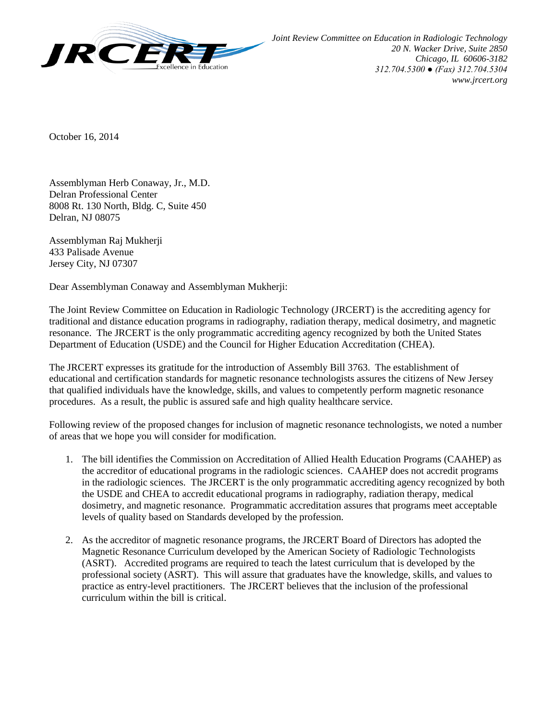

October 16, 2014

Assemblyman Herb Conaway, Jr., M.D. Delran Professional Center 8008 Rt. 130 North, Bldg. C, Suite 450 Delran, NJ 08075

Assemblyman Raj Mukherji 433 Palisade Avenue Jersey City, NJ 07307

Dear Assemblyman Conaway and Assemblyman Mukherji:

The Joint Review Committee on Education in Radiologic Technology (JRCERT) is the accrediting agency for traditional and distance education programs in radiography, radiation therapy, medical dosimetry, and magnetic resonance. The JRCERT is the only programmatic accrediting agency recognized by both the United States Department of Education (USDE) and the Council for Higher Education Accreditation (CHEA).

The JRCERT expresses its gratitude for the introduction of Assembly Bill 3763. The establishment of educational and certification standards for magnetic resonance technologists assures the citizens of New Jersey that qualified individuals have the knowledge, skills, and values to competently perform magnetic resonance procedures. As a result, the public is assured safe and high quality healthcare service.

Following review of the proposed changes for inclusion of magnetic resonance technologists, we noted a number of areas that we hope you will consider for modification.

- 1. The bill identifies the Commission on Accreditation of Allied Health Education Programs (CAAHEP) as the accreditor of educational programs in the radiologic sciences. CAAHEP does not accredit programs in the radiologic sciences. The JRCERT is the only programmatic accrediting agency recognized by both the USDE and CHEA to accredit educational programs in radiography, radiation therapy, medical dosimetry, and magnetic resonance. Programmatic accreditation assures that programs meet acceptable levels of quality based on Standards developed by the profession.
- 2. As the accreditor of magnetic resonance programs, the JRCERT Board of Directors has adopted the Magnetic Resonance Curriculum developed by the American Society of Radiologic Technologists (ASRT). Accredited programs are required to teach the latest curriculum that is developed by the professional society (ASRT). This will assure that graduates have the knowledge, skills, and values to practice as entry-level practitioners. The JRCERT believes that the inclusion of the professional curriculum within the bill is critical.